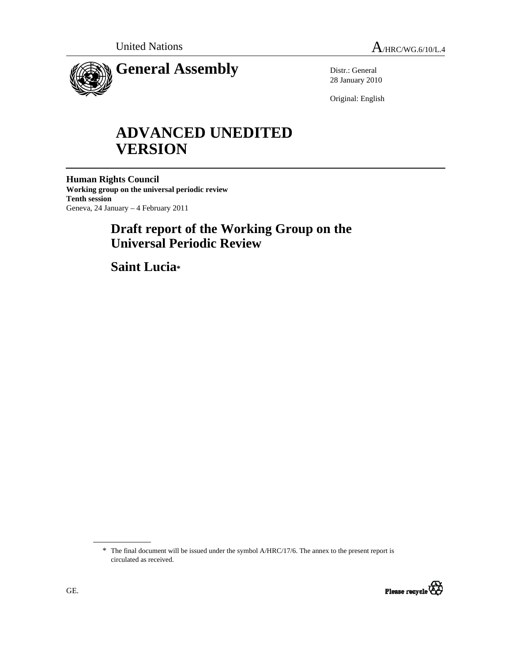

Distr.: General 28 January 2010

Original: English

# **ADVANCED UNEDITED VERSION**

**Human Rights Council Working group on the universal periodic review Tenth session**  Geneva, 24 January – 4 February 2011

## **Draft report of the Working Group on the Universal Periodic Review**

 **Saint Lucia\*** 

<sup>\*</sup> The final document will be issued under the symbol A/HRC/17/6. The annex to the present report is circulated as received.

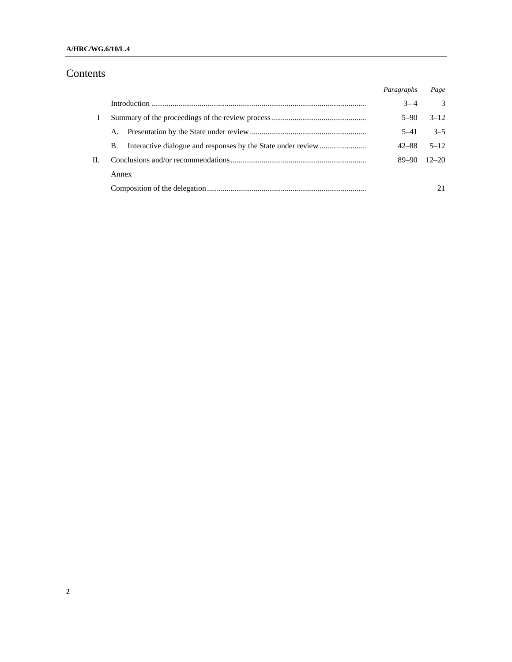## Contents

|    |       | Paragraphs | Page          |
|----|-------|------------|---------------|
|    |       | $3 - 4$    | $\mathcal{Z}$ |
|    |       | $5 - 90$   | $3 - 12$      |
|    | A.    | $5 - 41$   | $3 - 5$       |
|    | B.    | 42–88      | $5 - 12$      |
| П. |       | 89–90      | $12 - 20$     |
|    | Annex |            |               |
|    |       |            | 21            |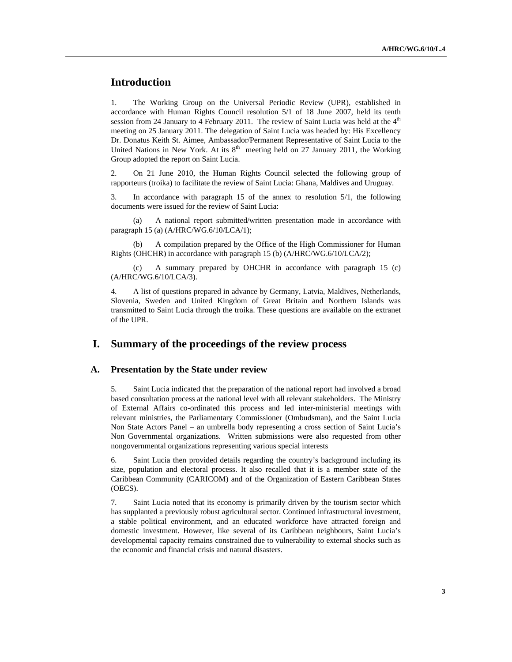## **Introduction**

1. The Working Group on the Universal Periodic Review (UPR), established in accordance with Human Rights Council resolution 5/1 of 18 June 2007, held its tenth session from 24 January to 4 February 2011. The review of Saint Lucia was held at the  $4<sup>th</sup>$ meeting on 25 January 2011. The delegation of Saint Lucia was headed by: His Excellency Dr. Donatus Keith St. Aimee, Ambassador/Permanent Representative of Saint Lucia to the United Nations in New York. At its  $8<sup>th</sup>$  meeting held on 27 January 2011, the Working Group adopted the report on Saint Lucia.

2. On 21 June 2010, the Human Rights Council selected the following group of rapporteurs (troika) to facilitate the review of Saint Lucia: Ghana, Maldives and Uruguay.

3. In accordance with paragraph 15 of the annex to resolution 5/1, the following documents were issued for the review of Saint Lucia:

 (a) A national report submitted/written presentation made in accordance with paragraph 15 (a) (A/HRC/WG.6/10/LCA/1);

A compilation prepared by the Office of the High Commissioner for Human Rights (OHCHR) in accordance with paragraph 15 (b) (A/HRC/WG.6/10/LCA/2);

 (c) A summary prepared by OHCHR in accordance with paragraph 15 (c) (A/HRC/WG.6/10/LCA/3).

4. A list of questions prepared in advance by Germany, Latvia, Maldives, Netherlands, Slovenia, Sweden and United Kingdom of Great Britain and Northern Islands was transmitted to Saint Lucia through the troika. These questions are available on the extranet of the UPR.

### **I. Summary of the proceedings of the review process**

#### **A. Presentation by the State under review**

5. Saint Lucia indicated that the preparation of the national report had involved a broad based consultation process at the national level with all relevant stakeholders. The Ministry of External Affairs co-ordinated this process and led inter-ministerial meetings with relevant ministries, the Parliamentary Commissioner (Ombudsman), and the Saint Lucia Non State Actors Panel – an umbrella body representing a cross section of Saint Lucia's Non Governmental organizations. Written submissions were also requested from other nongovernmental organizations representing various special interests

6. Saint Lucia then provided details regarding the country's background including its size, population and electoral process. It also recalled that it is a member state of the Caribbean Community (CARICOM) and of the Organization of Eastern Caribbean States (OECS).

7. Saint Lucia noted that its economy is primarily driven by the tourism sector which has supplanted a previously robust agricultural sector. Continued infrastructural investment, a stable political environment, and an educated workforce have attracted foreign and domestic investment. However, like several of its Caribbean neighbours, Saint Lucia's developmental capacity remains constrained due to vulnerability to external shocks such as the economic and financial crisis and natural disasters.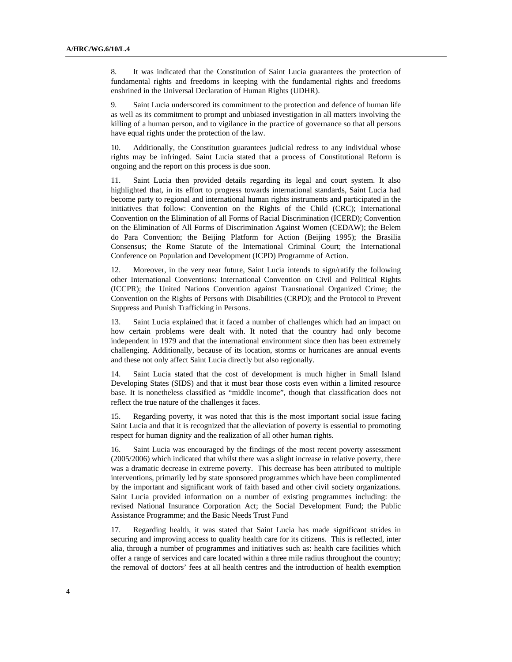8. It was indicated that the Constitution of Saint Lucia guarantees the protection of fundamental rights and freedoms in keeping with the fundamental rights and freedoms enshrined in the Universal Declaration of Human Rights (UDHR).

9. Saint Lucia underscored its commitment to the protection and defence of human life as well as its commitment to prompt and unbiased investigation in all matters involving the killing of a human person, and to vigilance in the practice of governance so that all persons have equal rights under the protection of the law.

10. Additionally, the Constitution guarantees judicial redress to any individual whose rights may be infringed. Saint Lucia stated that a process of Constitutional Reform is ongoing and the report on this process is due soon.

11. Saint Lucia then provided details regarding its legal and court system. It also highlighted that, in its effort to progress towards international standards, Saint Lucia had become party to regional and international human rights instruments and participated in the initiatives that follow: Convention on the Rights of the Child (CRC); International Convention on the Elimination of all Forms of Racial Discrimination (ICERD); Convention on the Elimination of All Forms of Discrimination Against Women (CEDAW); the Belem do Para Convention; the Beijing Platform for Action (Beijing 1995); the Brasilia Consensus; the Rome Statute of the International Criminal Court; the International Conference on Population and Development (ICPD) Programme of Action.

12. Moreover, in the very near future, Saint Lucia intends to sign/ratify the following other International Conventions: International Convention on Civil and Political Rights (ICCPR); the United Nations Convention against Transnational Organized Crime; the Convention on the Rights of Persons with Disabilities (CRPD); and the Protocol to Prevent Suppress and Punish Trafficking in Persons.

13. Saint Lucia explained that it faced a number of challenges which had an impact on how certain problems were dealt with. It noted that the country had only become independent in 1979 and that the international environment since then has been extremely challenging. Additionally, because of its location, storms or hurricanes are annual events and these not only affect Saint Lucia directly but also regionally.

14. Saint Lucia stated that the cost of development is much higher in Small Island Developing States (SIDS) and that it must bear those costs even within a limited resource base. It is nonetheless classified as "middle income", though that classification does not reflect the true nature of the challenges it faces.

15. Regarding poverty, it was noted that this is the most important social issue facing Saint Lucia and that it is recognized that the alleviation of poverty is essential to promoting respect for human dignity and the realization of all other human rights.

16. Saint Lucia was encouraged by the findings of the most recent poverty assessment (2005/2006) which indicated that whilst there was a slight increase in relative poverty, there was a dramatic decrease in extreme poverty. This decrease has been attributed to multiple interventions, primarily led by state sponsored programmes which have been complimented by the important and significant work of faith based and other civil society organizations. Saint Lucia provided information on a number of existing programmes including: the revised National Insurance Corporation Act; the Social Development Fund; the Public Assistance Programme; and the Basic Needs Trust Fund

17. Regarding health, it was stated that Saint Lucia has made significant strides in securing and improving access to quality health care for its citizens. This is reflected, inter alia, through a number of programmes and initiatives such as: health care facilities which offer a range of services and care located within a three mile radius throughout the country; the removal of doctors' fees at all health centres and the introduction of health exemption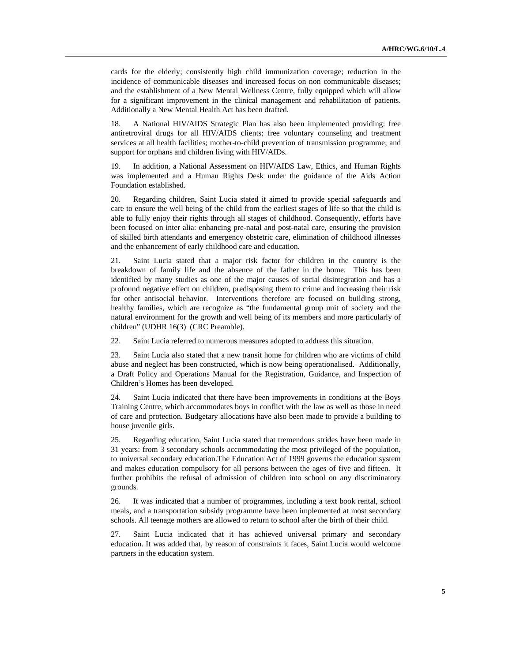cards for the elderly; consistently high child immunization coverage; reduction in the incidence of communicable diseases and increased focus on non communicable diseases; and the establishment of a New Mental Wellness Centre, fully equipped which will allow for a significant improvement in the clinical management and rehabilitation of patients. Additionally a New Mental Health Act has been drafted.

18. A National HIV/AIDS Strategic Plan has also been implemented providing: free antiretroviral drugs for all HIV/AIDS clients; free voluntary counseling and treatment services at all health facilities; mother-to-child prevention of transmission programme; and support for orphans and children living with HIV/AIDs.

19. In addition, a National Assessment on HIV/AIDS Law, Ethics, and Human Rights was implemented and a Human Rights Desk under the guidance of the Aids Action Foundation established.

20. Regarding children, Saint Lucia stated it aimed to provide special safeguards and care to ensure the well being of the child from the earliest stages of life so that the child is able to fully enjoy their rights through all stages of childhood. Consequently, efforts have been focused on inter alia: enhancing pre-natal and post-natal care, ensuring the provision of skilled birth attendants and emergency obstetric care, elimination of childhood illnesses and the enhancement of early childhood care and education.

21. Saint Lucia stated that a major risk factor for children in the country is the breakdown of family life and the absence of the father in the home. This has been identified by many studies as one of the major causes of social disintegration and has a profound negative effect on children, predisposing them to crime and increasing their risk for other antisocial behavior. Interventions therefore are focused on building strong, healthy families, which are recognize as "the fundamental group unit of society and the natural environment for the growth and well being of its members and more particularly of children" (UDHR 16(3) (CRC Preamble).

22. Saint Lucia referred to numerous measures adopted to address this situation.

23. Saint Lucia also stated that a new transit home for children who are victims of child abuse and neglect has been constructed, which is now being operationalised. Additionally, a Draft Policy and Operations Manual for the Registration, Guidance, and Inspection of Children's Homes has been developed.

24. Saint Lucia indicated that there have been improvements in conditions at the Boys Training Centre, which accommodates boys in conflict with the law as well as those in need of care and protection. Budgetary allocations have also been made to provide a building to house juvenile girls.

25. Regarding education, Saint Lucia stated that tremendous strides have been made in 31 years: from 3 secondary schools accommodating the most privileged of the population, to universal secondary education.The Education Act of 1999 governs the education system and makes education compulsory for all persons between the ages of five and fifteen. It further prohibits the refusal of admission of children into school on any discriminatory grounds.

26. It was indicated that a number of programmes, including a text book rental, school meals, and a transportation subsidy programme have been implemented at most secondary schools. All teenage mothers are allowed to return to school after the birth of their child.

27. Saint Lucia indicated that it has achieved universal primary and secondary education. It was added that, by reason of constraints it faces, Saint Lucia would welcome partners in the education system.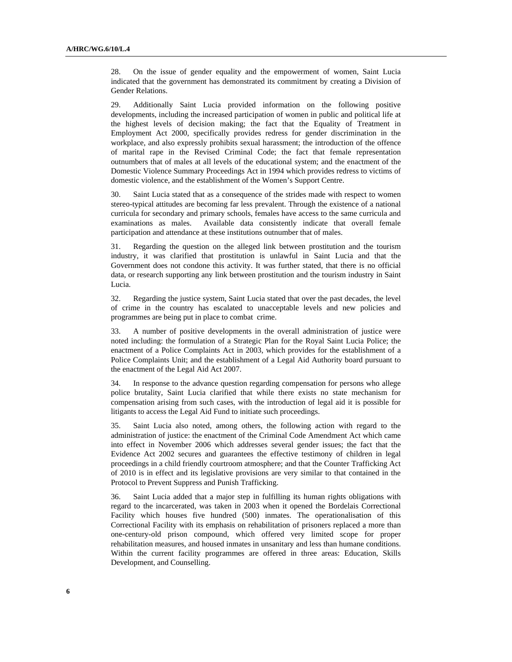28. On the issue of gender equality and the empowerment of women, Saint Lucia indicated that the government has demonstrated its commitment by creating a Division of Gender Relations.

29. Additionally Saint Lucia provided information on the following positive developments, including the increased participation of women in public and political life at the highest levels of decision making; the fact that the Equality of Treatment in Employment Act 2000, specifically provides redress for gender discrimination in the workplace, and also expressly prohibits sexual harassment; the introduction of the offence of marital rape in the Revised Criminal Code; the fact that female representation outnumbers that of males at all levels of the educational system; and the enactment of the Domestic Violence Summary Proceedings Act in 1994 which provides redress to victims of domestic violence, and the establishment of the Women's Support Centre.

30. Saint Lucia stated that as a consequence of the strides made with respect to women stereo-typical attitudes are becoming far less prevalent. Through the existence of a national curricula for secondary and primary schools, females have access to the same curricula and examinations as males. Available data consistently indicate that overall female participation and attendance at these institutions outnumber that of males.

31. Regarding the question on the alleged link between prostitution and the tourism industry, it was clarified that prostitution is unlawful in Saint Lucia and that the Government does not condone this activity. It was further stated, that there is no official data, or research supporting any link between prostitution and the tourism industry in Saint Lucia.

32. Regarding the justice system, Saint Lucia stated that over the past decades, the level of crime in the country has escalated to unacceptable levels and new policies and programmes are being put in place to combat crime.

33. A number of positive developments in the overall administration of justice were noted including: the formulation of a Strategic Plan for the Royal Saint Lucia Police; the enactment of a Police Complaints Act in 2003, which provides for the establishment of a Police Complaints Unit; and the establishment of a Legal Aid Authority board pursuant to the enactment of the Legal Aid Act 2007.

34. In response to the advance question regarding compensation for persons who allege police brutality, Saint Lucia clarified that while there exists no state mechanism for compensation arising from such cases, with the introduction of legal aid it is possible for litigants to access the Legal Aid Fund to initiate such proceedings.

35. Saint Lucia also noted, among others, the following action with regard to the administration of justice: the enactment of the Criminal Code Amendment Act which came into effect in November 2006 which addresses several gender issues; the fact that the Evidence Act 2002 secures and guarantees the effective testimony of children in legal proceedings in a child friendly courtroom atmosphere; and that the Counter Trafficking Act of 2010 is in effect and its legislative provisions are very similar to that contained in the Protocol to Prevent Suppress and Punish Trafficking.

36. Saint Lucia added that a major step in fulfilling its human rights obligations with regard to the incarcerated, was taken in 2003 when it opened the Bordelais Correctional Facility which houses five hundred (500) inmates. The operationalisation of this Correctional Facility with its emphasis on rehabilitation of prisoners replaced a more than one-century-old prison compound, which offered very limited scope for proper rehabilitation measures, and housed inmates in unsanitary and less than humane conditions. Within the current facility programmes are offered in three areas: Education, Skills Development, and Counselling.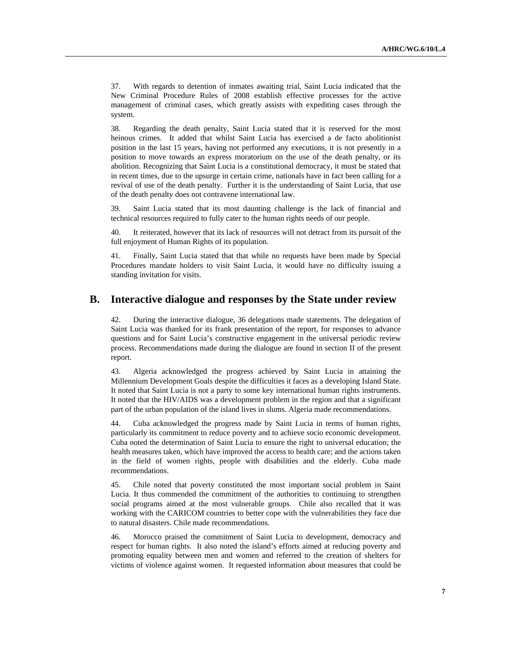37. With regards to detention of inmates awaiting trial, Saint Lucia indicated that the New Criminal Procedure Rules of 2008 establish effective processes for the active management of criminal cases, which greatly assists with expediting cases through the system.

38. Regarding the death penalty, Saint Lucia stated that it is reserved for the most heinous crimes. It added that whilst Saint Lucia has exercised a de facto abolitionist position in the last 15 years, having not performed any executions, it is not presently in a position to move towards an express moratorium on the use of the death penalty, or its abolition. Recognizing that Saint Lucia is a constitutional democracy, it must be stated that in recent times, due to the upsurge in certain crime, nationals have in fact been calling for a revival of use of the death penalty. Further it is the understanding of Saint Lucia, that use of the death penalty does not contravene international law.

39. Saint Lucia stated that its most daunting challenge is the lack of financial and technical resources required to fully cater to the human rights needs of our people.

40. It reiterated, however that its lack of resources will not detract from its pursuit of the full enjoyment of Human Rights of its population.

41. Finally, Saint Lucia stated that that while no requests have been made by Special Procedures mandate holders to visit Saint Lucia, it would have no difficulty issuing a standing invitation for visits.

### **B. Interactive dialogue and responses by the State under review**

42. During the interactive dialogue, 36 delegations made statements. The delegation of Saint Lucia was thanked for its frank presentation of the report, for responses to advance questions and for Saint Lucia's constructive engagement in the universal periodic review process. Recommendations made during the dialogue are found in section II of the present report.

43. Algeria acknowledged the progress achieved by Saint Lucia in attaining the Millennium Development Goals despite the difficulties it faces as a developing Island State. It noted that Saint Lucia is not a party to some key international human rights instruments. It noted that the HIV/AIDS was a development problem in the region and that a significant part of the urban population of the island lives in slums. Algeria made recommendations.

44. Cuba acknowledged the progress made by Saint Lucia in terms of human rights, particularly its commitment to reduce poverty and to achieve socio economic development. Cuba noted the determination of Saint Lucia to ensure the right to universal education; the health measures taken, which have improved the access to health care; and the actions taken in the field of women rights, people with disabilities and the elderly. Cuba made recommendations.

45. Chile noted that poverty constituted the most important social problem in Saint Lucia. It thus commended the commitment of the authorities to continuing to strengthen social programs aimed at the most vulnerable groups. Chile also recalled that it was working with the CARICOM countries to better cope with the vulnerabilities they face due to natural disasters. Chile made recommendations.

46. Morocco praised the commitment of Saint Lucia to development, democracy and respect for human rights. It also noted the island's efforts aimed at reducing poverty and promoting equality between men and women and referred to the creation of shelters for victims of violence against women. It requested information about measures that could be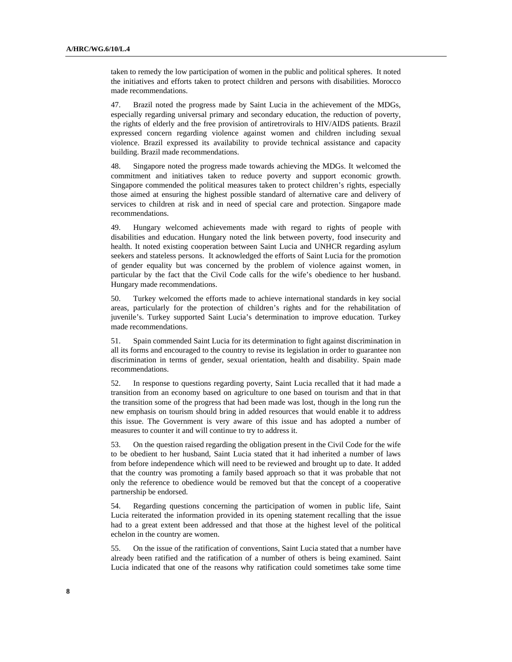taken to remedy the low participation of women in the public and political spheres. It noted the initiatives and efforts taken to protect children and persons with disabilities. Morocco made recommendations.

47. Brazil noted the progress made by Saint Lucia in the achievement of the MDGs, especially regarding universal primary and secondary education, the reduction of poverty, the rights of elderly and the free provision of antiretrovirals to HIV/AIDS patients. Brazil expressed concern regarding violence against women and children including sexual violence. Brazil expressed its availability to provide technical assistance and capacity building. Brazil made recommendations.

48. Singapore noted the progress made towards achieving the MDGs. It welcomed the commitment and initiatives taken to reduce poverty and support economic growth. Singapore commended the political measures taken to protect children's rights, especially those aimed at ensuring the highest possible standard of alternative care and delivery of services to children at risk and in need of special care and protection. Singapore made recommendations.

49. Hungary welcomed achievements made with regard to rights of people with disabilities and education. Hungary noted the link between poverty, food insecurity and health. It noted existing cooperation between Saint Lucia and UNHCR regarding asylum seekers and stateless persons. It acknowledged the efforts of Saint Lucia for the promotion of gender equality but was concerned by the problem of violence against women, in particular by the fact that the Civil Code calls for the wife's obedience to her husband. Hungary made recommendations.

50. Turkey welcomed the efforts made to achieve international standards in key social areas, particularly for the protection of children's rights and for the rehabilitation of juvenile's. Turkey supported Saint Lucia's determination to improve education. Turkey made recommendations.

51. Spain commended Saint Lucia for its determination to fight against discrimination in all its forms and encouraged to the country to revise its legislation in order to guarantee non discrimination in terms of gender, sexual orientation, health and disability. Spain made recommendations.

52. In response to questions regarding poverty, Saint Lucia recalled that it had made a transition from an economy based on agriculture to one based on tourism and that in that the transition some of the progress that had been made was lost, though in the long run the new emphasis on tourism should bring in added resources that would enable it to address this issue. The Government is very aware of this issue and has adopted a number of measures to counter it and will continue to try to address it.

53. On the question raised regarding the obligation present in the Civil Code for the wife to be obedient to her husband, Saint Lucia stated that it had inherited a number of laws from before independence which will need to be reviewed and brought up to date. It added that the country was promoting a family based approach so that it was probable that not only the reference to obedience would be removed but that the concept of a cooperative partnership be endorsed.

54. Regarding questions concerning the participation of women in public life, Saint Lucia reiterated the information provided in its opening statement recalling that the issue had to a great extent been addressed and that those at the highest level of the political echelon in the country are women.

55. On the issue of the ratification of conventions, Saint Lucia stated that a number have already been ratified and the ratification of a number of others is being examined. Saint Lucia indicated that one of the reasons why ratification could sometimes take some time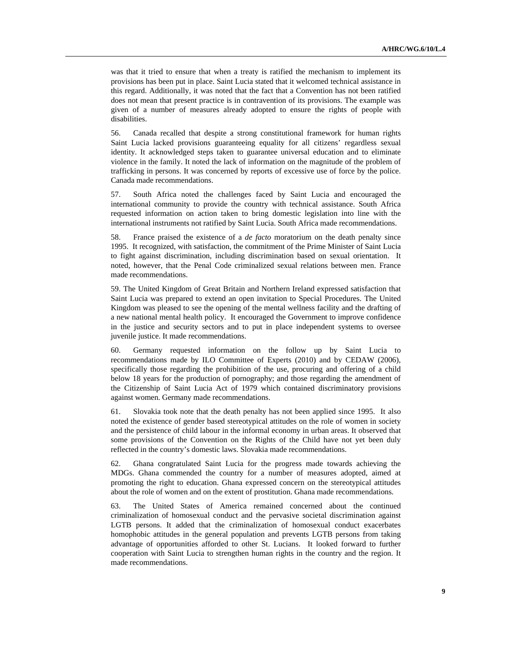was that it tried to ensure that when a treaty is ratified the mechanism to implement its provisions has been put in place. Saint Lucia stated that it welcomed technical assistance in this regard. Additionally, it was noted that the fact that a Convention has not been ratified does not mean that present practice is in contravention of its provisions. The example was given of a number of measures already adopted to ensure the rights of people with disabilities.

56. Canada recalled that despite a strong constitutional framework for human rights Saint Lucia lacked provisions guaranteeing equality for all citizens' regardless sexual identity. It acknowledged steps taken to guarantee universal education and to eliminate violence in the family. It noted the lack of information on the magnitude of the problem of trafficking in persons. It was concerned by reports of excessive use of force by the police. Canada made recommendations.

57. South Africa noted the challenges faced by Saint Lucia and encouraged the international community to provide the country with technical assistance. South Africa requested information on action taken to bring domestic legislation into line with the international instruments not ratified by Saint Lucia. South Africa made recommendations.

58. France praised the existence of a *de facto* moratorium on the death penalty since 1995. It recognized, with satisfaction, the commitment of the Prime Minister of Saint Lucia to fight against discrimination, including discrimination based on sexual orientation. It noted, however, that the Penal Code criminalized sexual relations between men. France made recommendations.

59. The United Kingdom of Great Britain and Northern Ireland expressed satisfaction that Saint Lucia was prepared to extend an open invitation to Special Procedures. The United Kingdom was pleased to see the opening of the mental wellness facility and the drafting of a new national mental health policy. It encouraged the Government to improve confidence in the justice and security sectors and to put in place independent systems to oversee juvenile justice. It made recommendations.

60. Germany requested information on the follow up by Saint Lucia to recommendations made by ILO Committee of Experts (2010) and by CEDAW (2006), specifically those regarding the prohibition of the use, procuring and offering of a child below 18 years for the production of pornography; and those regarding the amendment of the Citizenship of Saint Lucia Act of 1979 which contained discriminatory provisions against women. Germany made recommendations.

61. Slovakia took note that the death penalty has not been applied since 1995. It also noted the existence of gender based stereotypical attitudes on the role of women in society and the persistence of child labour in the informal economy in urban areas. It observed that some provisions of the Convention on the Rights of the Child have not yet been duly reflected in the country's domestic laws. Slovakia made recommendations.

62. Ghana congratulated Saint Lucia for the progress made towards achieving the MDGs. Ghana commended the country for a number of measures adopted, aimed at promoting the right to education. Ghana expressed concern on the stereotypical attitudes about the role of women and on the extent of prostitution. Ghana made recommendations.

63. The United States of America remained concerned about the continued criminalization of homosexual conduct and the pervasive societal discrimination against LGTB persons. It added that the criminalization of homosexual conduct exacerbates homophobic attitudes in the general population and prevents LGTB persons from taking advantage of opportunities afforded to other St. Lucians. It looked forward to further cooperation with Saint Lucia to strengthen human rights in the country and the region. It made recommendations.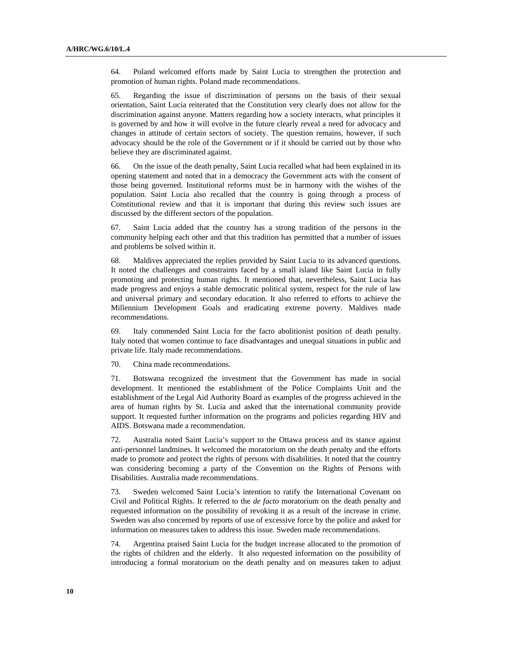64. Poland welcomed efforts made by Saint Lucia to strengthen the protection and promotion of human rights. Poland made recommendations.

65. Regarding the issue of discrimination of persons on the basis of their sexual orientation, Saint Lucia reiterated that the Constitution very clearly does not allow for the discrimination against anyone. Matters regarding how a society interacts, what principles it is governed by and how it will evolve in the future clearly reveal a need for advocacy and changes in attitude of certain sectors of society. The question remains, however, if such advocacy should be the role of the Government or if it should be carried out by those who believe they are discriminated against.

66. On the issue of the death penalty, Saint Lucia recalled what had been explained in its opening statement and noted that in a democracy the Government acts with the consent of those being governed. Institutional reforms must be in harmony with the wishes of the population. Saint Lucia also recalled that the country is going through a process of Constitutional review and that it is important that during this review such issues are discussed by the different sectors of the population.

67. Saint Lucia added that the country has a strong tradition of the persons in the community helping each other and that this tradition has permitted that a number of issues and problems be solved within it.

68. Maldives appreciated the replies provided by Saint Lucia to its advanced questions. It noted the challenges and constraints faced by a small island like Saint Lucia in fully promoting and protecting human rights. It mentioned that, nevertheless, Saint Lucia has made progress and enjoys a stable democratic political system, respect for the rule of law and universal primary and secondary education. It also referred to efforts to achieve the Millennium Development Goals and eradicating extreme poverty. Maldives made recommendations.

69. Italy commended Saint Lucia for the facto abolitionist position of death penalty. Italy noted that women continue to face disadvantages and unequal situations in public and private life. Italy made recommendations.

70. China made recommendations.

71. Botswana recognized the investment that the Government has made in social development. It mentioned the establishment of the Police Complaints Unit and the establishment of the Legal Aid Authority Board as examples of the progress achieved in the area of human rights by St. Lucia and asked that the international community provide support. It requested further information on the programs and policies regarding HIV and AIDS. Botswana made a recommendation.

72. Australia noted Saint Lucia's support to the Ottawa process and its stance against anti-personnel landmines. It welcomed the moratorium on the death penalty and the efforts made to promote and protect the rights of persons with disabilities. It noted that the country was considering becoming a party of the Convention on the Rights of Persons with Disabilities. Australia made recommendations.

73. Sweden welcomed Saint Lucia's intention to ratify the International Covenant on Civil and Political Rights. It referred to the *de facto* moratorium on the death penalty and requested information on the possibility of revoking it as a result of the increase in crime. Sweden was also concerned by reports of use of excessive force by the police and asked for information on measures taken to address this issue. Sweden made recommendations.

74. Argentina praised Saint Lucia for the budget increase allocated to the promotion of the rights of children and the elderly. It also requested information on the possibility of introducing a formal moratorium on the death penalty and on measures taken to adjust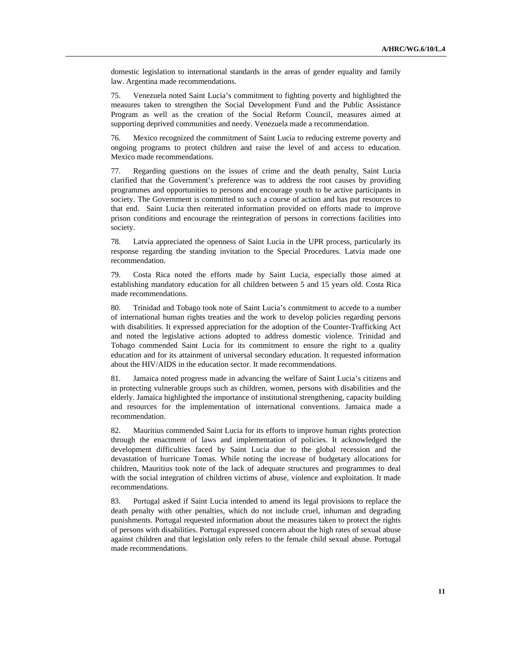domestic legislation to international standards in the areas of gender equality and family law. Argentina made recommendations.

75. Venezuela noted Saint Lucia's commitment to fighting poverty and highlighted the measures taken to strengthen the Social Development Fund and the Public Assistance Program as well as the creation of the Social Reform Council, measures aimed at supporting deprived communities and needy. Venezuela made a recommendation.

76. Mexico recognized the commitment of Saint Lucia to reducing extreme poverty and ongoing programs to protect children and raise the level of and access to education. Mexico made recommendations.

77. Regarding questions on the issues of crime and the death penalty, Saint Lucia clarified that the Government's preference was to address the root causes by providing programmes and opportunities to persons and encourage youth to be active participants in society. The Government is committed to such a course of action and has put resources to that end. Saint Lucia then reiterated information provided on efforts made to improve prison conditions and encourage the reintegration of persons in corrections facilities into society.

78. Latvia appreciated the openness of Saint Lucia in the UPR process, particularly its response regarding the standing invitation to the Special Procedures. Latvia made one recommendation.

79. Costa Rica noted the efforts made by Saint Lucia, especially those aimed at establishing mandatory education for all children between 5 and 15 years old. Costa Rica made recommendations.

80. Trinidad and Tobago took note of Saint Lucia's commitment to accede to a number of international human rights treaties and the work to develop policies regarding persons with disabilities. It expressed appreciation for the adoption of the Counter-Trafficking Act and noted the legislative actions adopted to address domestic violence. Trinidad and Tobago commended Saint Lucia for its commitment to ensure the right to a quality education and for its attainment of universal secondary education. It requested information about the HIV/AIDS in the education sector. It made recommendations.

81. Jamaica noted progress made in advancing the welfare of Saint Lucia's citizens and in protecting vulnerable groups such as children, women, persons with disabilities and the elderly. Jamaica highlighted the importance of institutional strengthening, capacity building and resources for the implementation of international conventions. Jamaica made a recommendation.

82. Mauritius commended Saint Lucia for its efforts to improve human rights protection through the enactment of laws and implementation of policies. It acknowledged the development difficulties faced by Saint Lucia due to the global recession and the devastation of hurricane Tomas. While noting the increase of budgetary allocations for children, Mauritius took note of the lack of adequate structures and programmes to deal with the social integration of children victims of abuse, violence and exploitation. It made recommendations.

83. Portugal asked if Saint Lucia intended to amend its legal provisions to replace the death penalty with other penalties, which do not include cruel, inhuman and degrading punishments. Portugal requested information about the measures taken to protect the rights of persons with disabilities. Portugal expressed concern about the high rates of sexual abuse against children and that legislation only refers to the female child sexual abuse. Portugal made recommendations.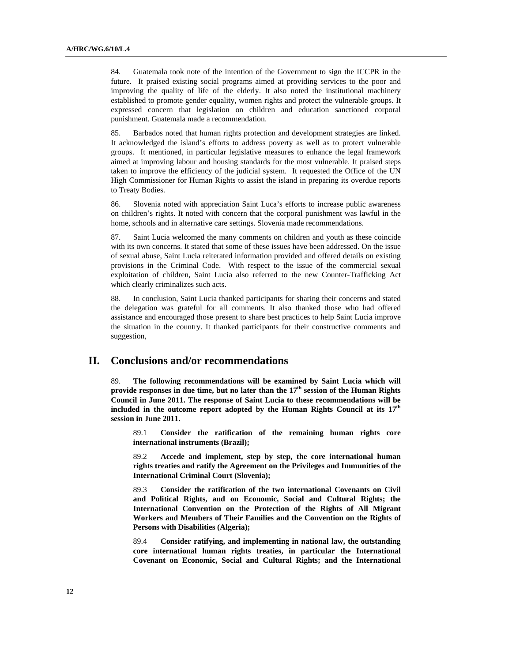84. Guatemala took note of the intention of the Government to sign the ICCPR in the future. It praised existing social programs aimed at providing services to the poor and improving the quality of life of the elderly. It also noted the institutional machinery established to promote gender equality, women rights and protect the vulnerable groups. It expressed concern that legislation on children and education sanctioned corporal punishment. Guatemala made a recommendation.

85. Barbados noted that human rights protection and development strategies are linked. It acknowledged the island's efforts to address poverty as well as to protect vulnerable groups. It mentioned, in particular legislative measures to enhance the legal framework aimed at improving labour and housing standards for the most vulnerable. It praised steps taken to improve the efficiency of the judicial system. It requested the Office of the UN High Commissioner for Human Rights to assist the island in preparing its overdue reports to Treaty Bodies.

86. Slovenia noted with appreciation Saint Luca's efforts to increase public awareness on children's rights. It noted with concern that the corporal punishment was lawful in the home, schools and in alternative care settings. Slovenia made recommendations.

87. Saint Lucia welcomed the many comments on children and youth as these coincide with its own concerns. It stated that some of these issues have been addressed. On the issue of sexual abuse, Saint Lucia reiterated information provided and offered details on existing provisions in the Criminal Code. With respect to the issue of the commercial sexual exploitation of children, Saint Lucia also referred to the new Counter-Trafficking Act which clearly criminalizes such acts.

88. In conclusion, Saint Lucia thanked participants for sharing their concerns and stated the delegation was grateful for all comments. It also thanked those who had offered assistance and encouraged those present to share best practices to help Saint Lucia improve the situation in the country. It thanked participants for their constructive comments and suggestion,

## **II. Conclusions and/or recommendations**

89. **The following recommendations will be examined by Saint Lucia which will**  provide responses in due time, but no later than the 17<sup>th</sup> session of the Human Rights **Council in June 2011. The response of Saint Lucia to these recommendations will be included in the outcome report adopted by the Human Rights Council at its 17th session in June 2011.**

89.1 **Consider the ratification of the remaining human rights core international instruments (Brazil);**

89.2 **Accede and implement, step by step, the core international human rights treaties and ratify the Agreement on the Privileges and Immunities of the International Criminal Court (Slovenia);** 

89.3 **Consider the ratification of the two international Covenants on Civil and Political Rights, and on Economic, Social and Cultural Rights; the International Convention on the Protection of the Rights of All Migrant Workers and Members of Their Families and the Convention on the Rights of Persons with Disabilities (Algeria);**

89.4 **Consider ratifying, and implementing in national law, the outstanding core international human rights treaties, in particular the International Covenant on Economic, Social and Cultural Rights; and the International**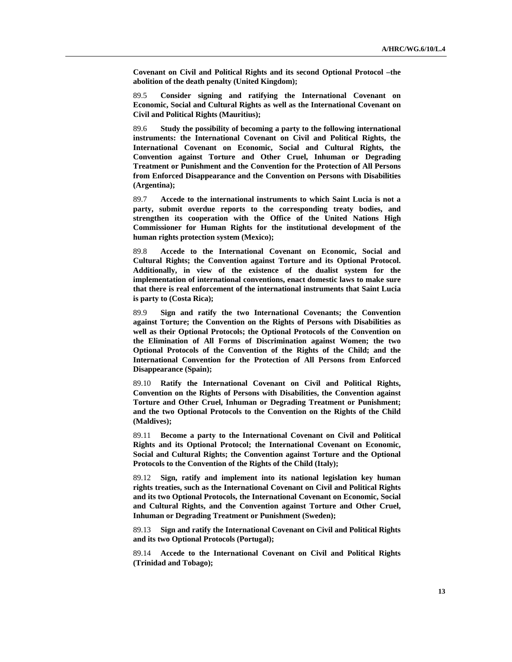**Covenant on Civil and Political Rights and its second Optional Protocol –the abolition of the death penalty (United Kingdom);** 

89.5 **Consider signing and ratifying the International Covenant on Economic, Social and Cultural Rights as well as the International Covenant on Civil and Political Rights (Mauritius);**

89.6 **Study the possibility of becoming a party to the following international instruments: the International Covenant on Civil and Political Rights, the International Covenant on Economic, Social and Cultural Rights, the Convention against Torture and Other Cruel, Inhuman or Degrading Treatment or Punishment and the Convention for the Protection of All Persons from Enforced Disappearance and the Convention on Persons with Disabilities (Argentina);**

89.7 **Accede to the international instruments to which Saint Lucia is not a party, submit overdue reports to the corresponding treaty bodies, and strengthen its cooperation with the Office of the United Nations High Commissioner for Human Rights for the institutional development of the human rights protection system (Mexico);**

89.8 **Accede to the International Covenant on Economic, Social and Cultural Rights; the Convention against Torture and its Optional Protocol. Additionally, in view of the existence of the dualist system for the implementation of international conventions, enact domestic laws to make sure that there is real enforcement of the international instruments that Saint Lucia is party to (Costa Rica);**

89.9 **Sign and ratify the two International Covenants; the Convention against Torture; the Convention on the Rights of Persons with Disabilities as well as their Optional Protocols; the Optional Protocols of the Convention on the Elimination of All Forms of Discrimination against Women; the two Optional Protocols of the Convention of the Rights of the Child; and the International Convention for the Protection of All Persons from Enforced Disappearance (Spain);**

89.10 **Ratify the International Covenant on Civil and Political Rights, Convention on the Rights of Persons with Disabilities, the Convention against Torture and Other Cruel, Inhuman or Degrading Treatment or Punishment; and the two Optional Protocols to the Convention on the Rights of the Child (Maldives);**

89.11 **Become a party to the International Covenant on Civil and Political Rights and its Optional Protocol; the International Covenant on Economic, Social and Cultural Rights; the Convention against Torture and the Optional Protocols to the Convention of the Rights of the Child (Italy);**

89.12 **Sign, ratify and implement into its national legislation key human rights treaties, such as the International Covenant on Civil and Political Rights and its two Optional Protocols, the International Covenant on Economic, Social and Cultural Rights, and the Convention against Torture and Other Cruel, Inhuman or Degrading Treatment or Punishment (Sweden);**

89.13 **Sign and ratify the International Covenant on Civil and Political Rights and its two Optional Protocols (Portugal);**

89.14 **Accede to the International Covenant on Civil and Political Rights (Trinidad and Tobago);**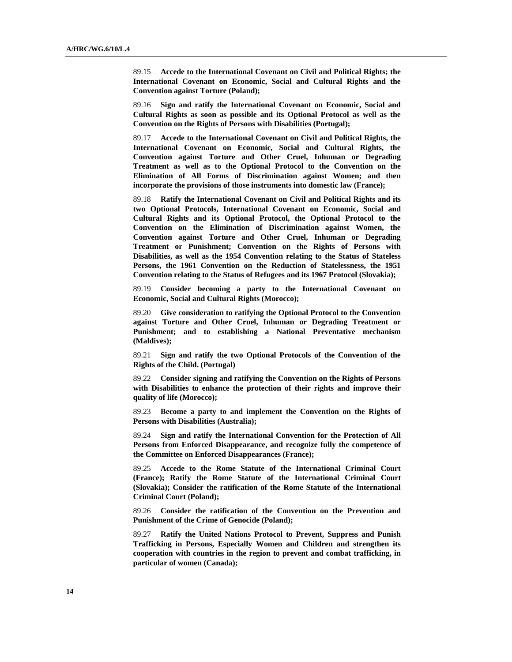89.15 **Accede to the International Covenant on Civil and Political Rights; the International Covenant on Economic, Social and Cultural Rights and the Convention against Torture (Poland);**

89.16 **Sign and ratify the International Covenant on Economic, Social and Cultural Rights as soon as possible and its Optional Protocol as well as the Convention on the Rights of Persons with Disabilities (Portugal);**

89.17 **Accede to the International Covenant on Civil and Political Rights, the International Covenant on Economic, Social and Cultural Rights, the Convention against Torture and Other Cruel, Inhuman or Degrading Treatment as well as to the Optional Protocol to the Convention on the Elimination of All Forms of Discrimination against Women; and then incorporate the provisions of those instruments into domestic law (France);**

89.18 **Ratify the International Covenant on Civil and Political Rights and its two Optional Protocols, International Covenant on Economic, Social and Cultural Rights and its Optional Protocol, the Optional Protocol to the Convention on the Elimination of Discrimination against Women, the Convention against Torture and Other Cruel, Inhuman or Degrading Treatment or Punishment; Convention on the Rights of Persons with Disabilities, as well as the 1954 Convention relating to the Status of Stateless Persons, the 1961 Convention on the Reduction of Statelessness, the 1951 Convention relating to the Status of Refugees and its 1967 Protocol (Slovakia);** 

89.19 **Consider becoming a party to the International Covenant on Economic, Social and Cultural Rights (Morocco);**

89.20 **Give consideration to ratifying the Optional Protocol to the Convention against Torture and Other Cruel, Inhuman or Degrading Treatment or Punishment; and to establishing a National Preventative mechanism (Maldives);**

89.21 **Sign and ratify the two Optional Protocols of the Convention of the Rights of the Child. (Portugal)**

89.22 **Consider signing and ratifying the Convention on the Rights of Persons with Disabilities to enhance the protection of their rights and improve their quality of life (Morocco);**

89.23 **Become a party to and implement the Convention on the Rights of Persons with Disabilities (Australia);**

89.24 **Sign and ratify the International Convention for the Protection of All Persons from Enforced Disappearance, and recognize fully the competence of the Committee on Enforced Disappearances (France);**

89.25 **Accede to the Rome Statute of the International Criminal Court (France); Ratify the Rome Statute of the International Criminal Court (Slovakia); Consider the ratification of the Rome Statute of the International Criminal Court (Poland);**

89.26 **Consider the ratification of the Convention on the Prevention and Punishment of the Crime of Genocide (Poland);**

89.27 **Ratify the United Nations Protocol to Prevent, Suppress and Punish Trafficking in Persons, Especially Women and Children and strengthen its cooperation with countries in the region to prevent and combat trafficking, in particular of women (Canada);**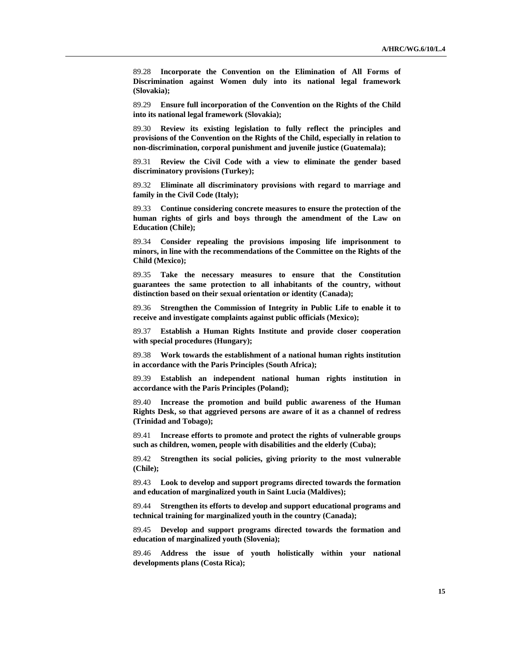89.28 **Incorporate the Convention on the Elimination of All Forms of Discrimination against Women duly into its national legal framework (Slovakia);**

89.29 **Ensure full incorporation of the Convention on the Rights of the Child into its national legal framework (Slovakia);**

89.30 **Review its existing legislation to fully reflect the principles and provisions of the Convention on the Rights of the Child, especially in relation to non-discrimination, corporal punishment and juvenile justice (Guatemala);**

89.31 **Review the Civil Code with a view to eliminate the gender based discriminatory provisions (Turkey);**

89.32 **Eliminate all discriminatory provisions with regard to marriage and family in the Civil Code (Italy);**

89.33 **Continue considering concrete measures to ensure the protection of the human rights of girls and boys through the amendment of the Law on Education (Chile);**

89.34 **Consider repealing the provisions imposing life imprisonment to minors, in line with the recommendations of the Committee on the Rights of the Child (Mexico);**

89.35 **Take the necessary measures to ensure that the Constitution guarantees the same protection to all inhabitants of the country, without distinction based on their sexual orientation or identity (Canada);**

89.36 **Strengthen the Commission of Integrity in Public Life to enable it to receive and investigate complaints against public officials (Mexico);**

89.37 **Establish a Human Rights Institute and provide closer cooperation with special procedures (Hungary);**

89.38 **Work towards the establishment of a national human rights institution in accordance with the Paris Principles (South Africa);**

89.39 **Establish an independent national human rights institution in accordance with the Paris Principles (Poland);**

89.40 **Increase the promotion and build public awareness of the Human Rights Desk, so that aggrieved persons are aware of it as a channel of redress (Trinidad and Tobago);**

89.41 **Increase efforts to promote and protect the rights of vulnerable groups such as children, women, people with disabilities and the elderly (Cuba);**

89.42 **Strengthen its social policies, giving priority to the most vulnerable (Chile);** 

89.43 **Look to develop and support programs directed towards the formation and education of marginalized youth in Saint Lucia (Maldives);**

89.44 **Strengthen its efforts to develop and support educational programs and technical training for marginalized youth in the country (Canada);** 

89.45 **Develop and support programs directed towards the formation and education of marginalized youth (Slovenia);**

89.46 **Address the issue of youth holistically within your national developments plans (Costa Rica);**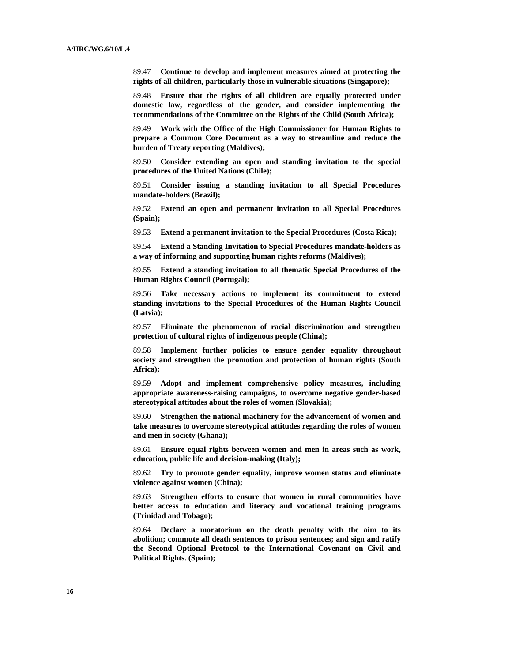89.47 **Continue to develop and implement measures aimed at protecting the rights of all children, particularly those in vulnerable situations (Singapore);**

89.48 **Ensure that the rights of all children are equally protected under domestic law, regardless of the gender, and consider implementing the recommendations of the Committee on the Rights of the Child (South Africa);**

89.49 **Work with the Office of the High Commissioner for Human Rights to prepare a Common Core Document as a way to streamline and reduce the burden of Treaty reporting (Maldives);**

89.50 **Consider extending an open and standing invitation to the special procedures of the United Nations (Chile);**

89.51 **Consider issuing a standing invitation to all Special Procedures mandate-holders (Brazil);**

89.52 **Extend an open and permanent invitation to all Special Procedures (Spain);**

89.53 **Extend a permanent invitation to the Special Procedures (Costa Rica);**

89.54 **Extend a Standing Invitation to Special Procedures mandate-holders as a way of informing and supporting human rights reforms (Maldives);** 

89.55 **Extend a standing invitation to all thematic Special Procedures of the Human Rights Council (Portugal);**

89.56 **Take necessary actions to implement its commitment to extend standing invitations to the Special Procedures of the Human Rights Council (Latvia);**

89.57 **Eliminate the phenomenon of racial discrimination and strengthen protection of cultural rights of indigenous people (China);**

89.58 **Implement further policies to ensure gender equality throughout society and strengthen the promotion and protection of human rights (South Africa);**

89.59 **Adopt and implement comprehensive policy measures, including appropriate awareness-raising campaigns, to overcome negative gender-based stereotypical attitudes about the roles of women (Slovakia);**

89.60 **Strengthen the national machinery for the advancement of women and take measures to overcome stereotypical attitudes regarding the roles of women and men in society (Ghana);**

89.61 **Ensure equal rights between women and men in areas such as work, education, public life and decision-making (Italy);**

89.62 **Try to promote gender equality, improve women status and eliminate violence against women (China);**

89.63 **Strengthen efforts to ensure that women in rural communities have better access to education and literacy and vocational training programs (Trinidad and Tobago);** 

89.64 **Declare a moratorium on the death penalty with the aim to its abolition; commute all death sentences to prison sentences; and sign and ratify the Second Optional Protocol to the International Covenant on Civil and Political Rights. (Spain);**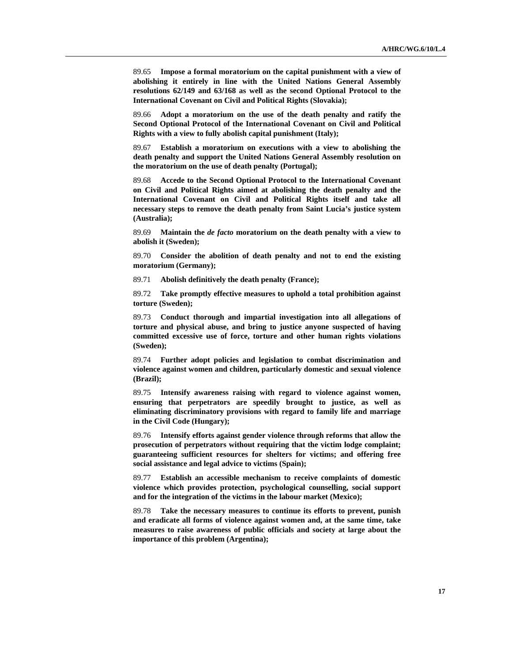89.65 **Impose a formal moratorium on the capital punishment with a view of abolishing it entirely in line with the United Nations General Assembly resolutions 62/149 and 63/168 as well as the second Optional Protocol to the International Covenant on Civil and Political Rights (Slovakia);**

89.66 **Adopt a moratorium on the use of the death penalty and ratify the Second Optional Protocol of the International Covenant on Civil and Political Rights with a view to fully abolish capital punishment (Italy);**

89.67 **Establish a moratorium on executions with a view to abolishing the death penalty and support the United Nations General Assembly resolution on the moratorium on the use of death penalty (Portugal);**

89.68 **Accede to the Second Optional Protocol to the International Covenant on Civil and Political Rights aimed at abolishing the death penalty and the International Covenant on Civil and Political Rights itself and take all necessary steps to remove the death penalty from Saint Lucia's justice system (Australia);**

89.69 **Maintain the** *de facto* **moratorium on the death penalty with a view to abolish it (Sweden);**

89.70 **Consider the abolition of death penalty and not to end the existing moratorium (Germany);**

89.71 **Abolish definitively the death penalty (France);**

89.72 **Take promptly effective measures to uphold a total prohibition against torture (Sweden);** 

89.73 **Conduct thorough and impartial investigation into all allegations of torture and physical abuse, and bring to justice anyone suspected of having committed excessive use of force, torture and other human rights violations (Sweden);**

89.74 **Further adopt policies and legislation to combat discrimination and violence against women and children, particularly domestic and sexual violence (Brazil);**

89.75 **Intensify awareness raising with regard to violence against women, ensuring that perpetrators are speedily brought to justice, as well as eliminating discriminatory provisions with regard to family life and marriage in the Civil Code (Hungary);** 

89.76 **Intensify efforts against gender violence through reforms that allow the prosecution of perpetrators without requiring that the victim lodge complaint; guaranteeing sufficient resources for shelters for victims; and offering free social assistance and legal advice to victims (Spain);**

89.77 **Establish an accessible mechanism to receive complaints of domestic violence which provides protection, psychological counselling, social support and for the integration of the victims in the labour market (Mexico);**

89.78 **Take the necessary measures to continue its efforts to prevent, punish and eradicate all forms of violence against women and, at the same time, take measures to raise awareness of public officials and society at large about the importance of this problem (Argentina);**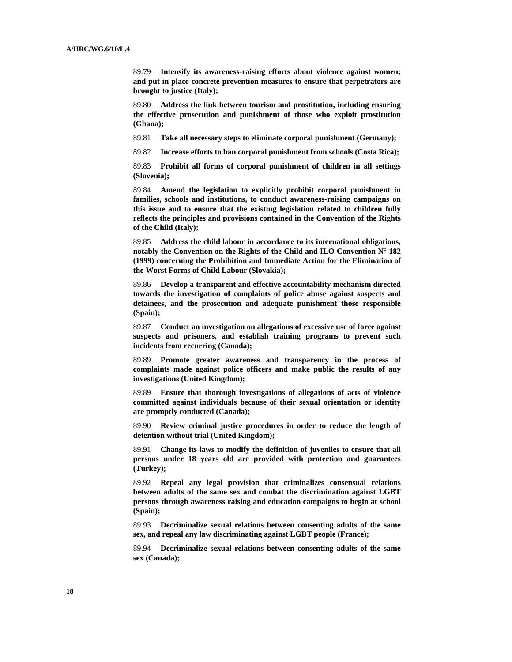89.79 **Intensify its awareness-raising efforts about violence against women; and put in place concrete prevention measures to ensure that perpetrators are brought to justice (Italy);**

89.80 **Address the link between tourism and prostitution, including ensuring the effective prosecution and punishment of those who exploit prostitution (Ghana);**

89.81 **Take all necessary steps to eliminate corporal punishment (Germany);**

89.82 **Increase efforts to ban corporal punishment from schools (Costa Rica);**

89.83 **Prohibit all forms of corporal punishment of children in all settings (Slovenia);**

89.84 **Amend the legislation to explicitly prohibit corporal punishment in families, schools and institutions, to conduct awareness-raising campaigns on this issue and to ensure that the existing legislation related to children fully reflects the principles and provisions contained in the Convention of the Rights of the Child (Italy);**

89.85 **Address the child labour in accordance to its international obligations, notably the Convention on the Rights of the Child and ILO Convention N° 182 (1999) concerning the Prohibition and Immediate Action for the Elimination of the Worst Forms of Child Labour (Slovakia);**

89.86 **Develop a transparent and effective accountability mechanism directed towards the investigation of complaints of police abuse against suspects and detainees, and the prosecution and adequate punishment those responsible (Spain);**

89.87 **Conduct an investigation on allegations of excessive use of force against suspects and prisoners, and establish training programs to prevent such incidents from recurring (Canada);**

89.89 **Promote greater awareness and transparency in the process of complaints made against police officers and make public the results of any investigations (United Kingdom);**

89.89 **Ensure that thorough investigations of allegations of acts of violence committed against individuals because of their sexual orientation or identity are promptly conducted (Canada);**

89.90 **Review criminal justice procedures in order to reduce the length of detention without trial (United Kingdom);**

89.91 **Change its laws to modify the definition of juveniles to ensure that all persons under 18 years old are provided with protection and guarantees (Turkey);**

89.92 **Repeal any legal provision that criminalizes consensual relations between adults of the same sex and combat the discrimination against LGBT persons through awareness raising and education campaigns to begin at school (Spain);**

89.93 **Decriminalize sexual relations between consenting adults of the same sex, and repeal any law discriminating against LGBT people (France);**

89.94 **Decriminalize sexual relations between consenting adults of the same sex (Canada);**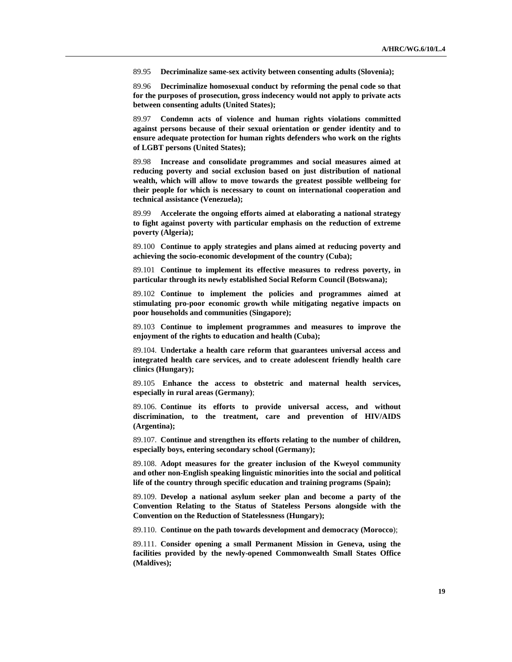89.95 **Decriminalize same-sex activity between consenting adults (Slovenia);**

89.96 **Decriminalize homosexual conduct by reforming the penal code so that for the purposes of prosecution, gross indecency would not apply to private acts between consenting adults (United States);**

89.97 **Condemn acts of violence and human rights violations committed against persons because of their sexual orientation or gender identity and to ensure adequate protection for human rights defenders who work on the rights of LGBT persons (United States);**

89.98 **Increase and consolidate programmes and social measures aimed at reducing poverty and social exclusion based on just distribution of national wealth, which will allow to move towards the greatest possible wellbeing for their people for which is necessary to count on international cooperation and technical assistance (Venezuela);**

89.99 **Accelerate the ongoing efforts aimed at elaborating a national strategy to fight against poverty with particular emphasis on the reduction of extreme poverty (Algeria);**

89.100 **Continue to apply strategies and plans aimed at reducing poverty and achieving the socio-economic development of the country (Cuba);**

89.101 **Continue to implement its effective measures to redress poverty, in particular through its newly established Social Reform Council (Botswana);**

89.102 **Continue to implement the policies and programmes aimed at stimulating pro-poor economic growth while mitigating negative impacts on poor households and communities (Singapore);**

89.103 **Continue to implement programmes and measures to improve the enjoyment of the rights to education and health (Cuba);**

89.104. **Undertake a health care reform that guarantees universal access and integrated health care services, and to create adolescent friendly health care clinics (Hungary);** 

89.105 **Enhance the access to obstetric and maternal health services, especially in rural areas (Germany)**;

89.106. **Continue its efforts to provide universal access, and without discrimination, to the treatment, care and prevention of HIV/AIDS (Argentina);**

89.107. **Continue and strengthen its efforts relating to the number of children, especially boys, entering secondary school (Germany);** 

89.108. **Adopt measures for the greater inclusion of the Kweyol community and other non-English speaking linguistic minorities into the social and political life of the country through specific education and training programs (Spain);**

89.109. **Develop a national asylum seeker plan and become a party of the Convention Relating to the Status of Stateless Persons alongside with the Convention on the Reduction of Statelessness (Hungary);** 

89.110. **Continue on the path towards development and democracy (Morocco**);

89.111. **Consider opening a small Permanent Mission in Geneva, using the facilities provided by the newly-opened Commonwealth Small States Office (Maldives);**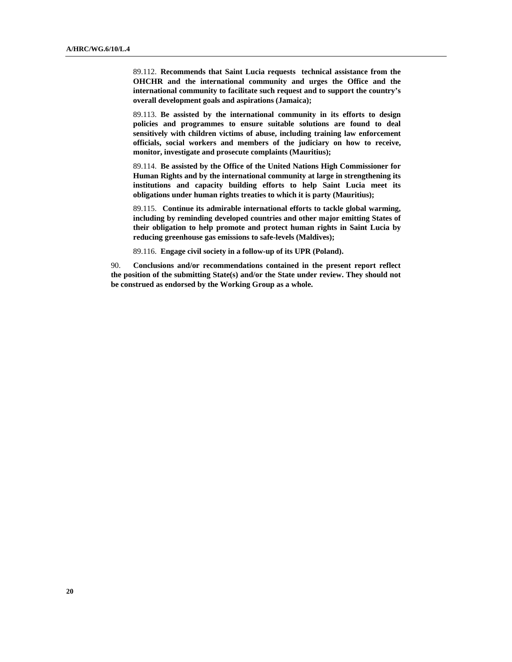89.112. **Recommends that Saint Lucia requests technical assistance from the OHCHR and the international community and urges the Office and the international community to facilitate such request and to support the country's overall development goals and aspirations (Jamaica);**

89.113. **Be assisted by the international community in its efforts to design policies and programmes to ensure suitable solutions are found to deal sensitively with children victims of abuse, including training law enforcement officials, social workers and members of the judiciary on how to receive, monitor, investigate and prosecute complaints (Mauritius);**

89.114. **Be assisted by the Office of the United Nations High Commissioner for Human Rights and by the international community at large in strengthening its institutions and capacity building efforts to help Saint Lucia meet its obligations under human rights treaties to which it is party (Mauritius);**

89.115. **Continue its admirable international efforts to tackle global warming, including by reminding developed countries and other major emitting States of their obligation to help promote and protect human rights in Saint Lucia by reducing greenhouse gas emissions to safe-levels (Maldives);**

89.116. **Engage civil society in a follow-up of its UPR (Poland).** 

90. **Conclusions and/or recommendations contained in the present report reflect the position of the submitting State(s) and/or the State under review. They should not be construed as endorsed by the Working Group as a whole.**